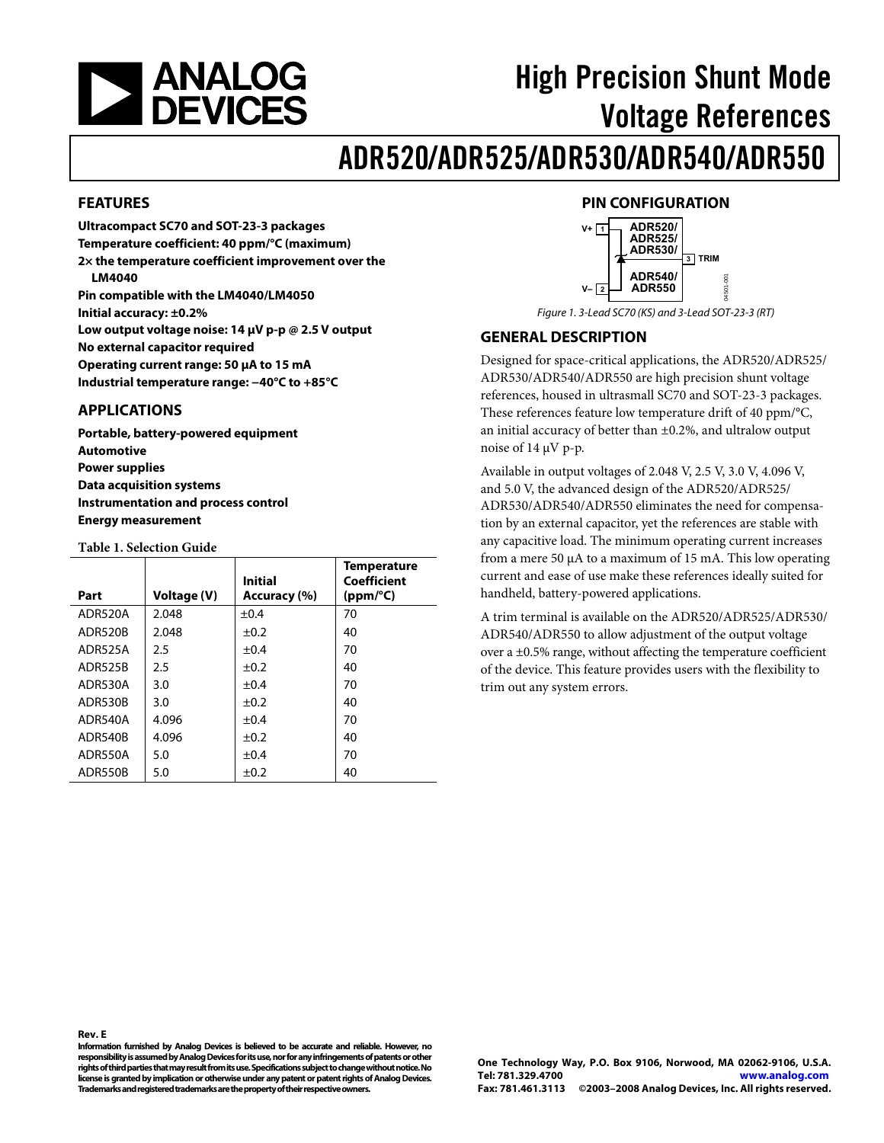<span id="page-0-0"></span>

# High Precision Shunt Mode Voltage References

# ADR520/ADR525/ADR530/ADR540/ADR550

#### **FEATURES**

**Ultracompact SC70 and SOT-23-3 packages Temperature coefficient: 40 ppm/°C (maximum) 2× the temperature coefficient improvement over the LM4040 Pin compatible with the LM4040/LM4050 Initial accuracy: ±0.2% Low output voltage noise: 14 μV p-p @ 2.5 V output No external capacitor required Operating current range: 50 μA to 15 mA Industrial temperature range: −40°C to +85°C** 

#### **APPLICATIONS**

**Portable, battery-powered equipment Automotive Power supplies Data acquisition systems Instrumentation and process control Energy measurement** 

#### **Table 1. Selection Guide**

| Part           | Voltage (V) | Initial<br>Accuracy (%) | <b>Temperature</b><br>Coefficient<br>(ppm/°C) |
|----------------|-------------|-------------------------|-----------------------------------------------|
| ADR520A        | 2.048       | $\pm 0.4$               | 70                                            |
| <b>ADR520B</b> | 2.048       | $\pm 0.2$               | 40                                            |
| ADR525A        | 2.5         | ±0.4                    | 70                                            |
| <b>ADR525B</b> | 2.5         | $\pm 0.2$               | 40                                            |
| ADR530A        | 3.0         | ±0.4                    | 70                                            |
| <b>ADR530B</b> | 3.0         | $\pm 0.2$               | 40                                            |
| ADR540A        | 4.096       | ±0.4                    | 70                                            |
| <b>ADR540B</b> | 4.096       | $\pm 0.2$               | 40                                            |
| ADR550A        | 5.0         | ±0.4                    | 70                                            |
| ADR550B        | 5.0         | $\pm 0.2$               | 40                                            |

#### **PIN CONFIGURATION**



Figure 1. 3-Lead SC70 (KS) and 3-Lead SOT-23-3 (RT)

#### **GENERAL DESCRIPTION**

Designed for space-critical applications, the ADR520/ADR525/ ADR530/ADR540/ADR550 are high precision shunt voltage references, housed in ultrasmall SC70 and SOT-23-3 packages. These references feature low temperature drift of 40 ppm/°C, an initial accuracy of better than ±0.2%, and ultralow output noise of 14 μV p-p.

Available in output voltages of 2.048 V, 2.5 V, 3.0 V, 4.096 V, and 5.0 V, the advanced design of the ADR520/ADR525/ ADR530/ADR540/ADR550 eliminates the need for compensation by an external capacitor, yet the references are stable with any capacitive load. The minimum operating current increases from a mere 50 μA to a maximum of 15 mA. This low operating current and ease of use make these references ideally suited for handheld, battery-powered applications.

A trim terminal is available on the ADR520/ADR525/ADR530/ ADR540/ADR550 to allow adjustment of the output voltage over a ±0.5% range, without affecting the temperature coefficient of the device. This feature provides users with the flexibility to trim out any system errors.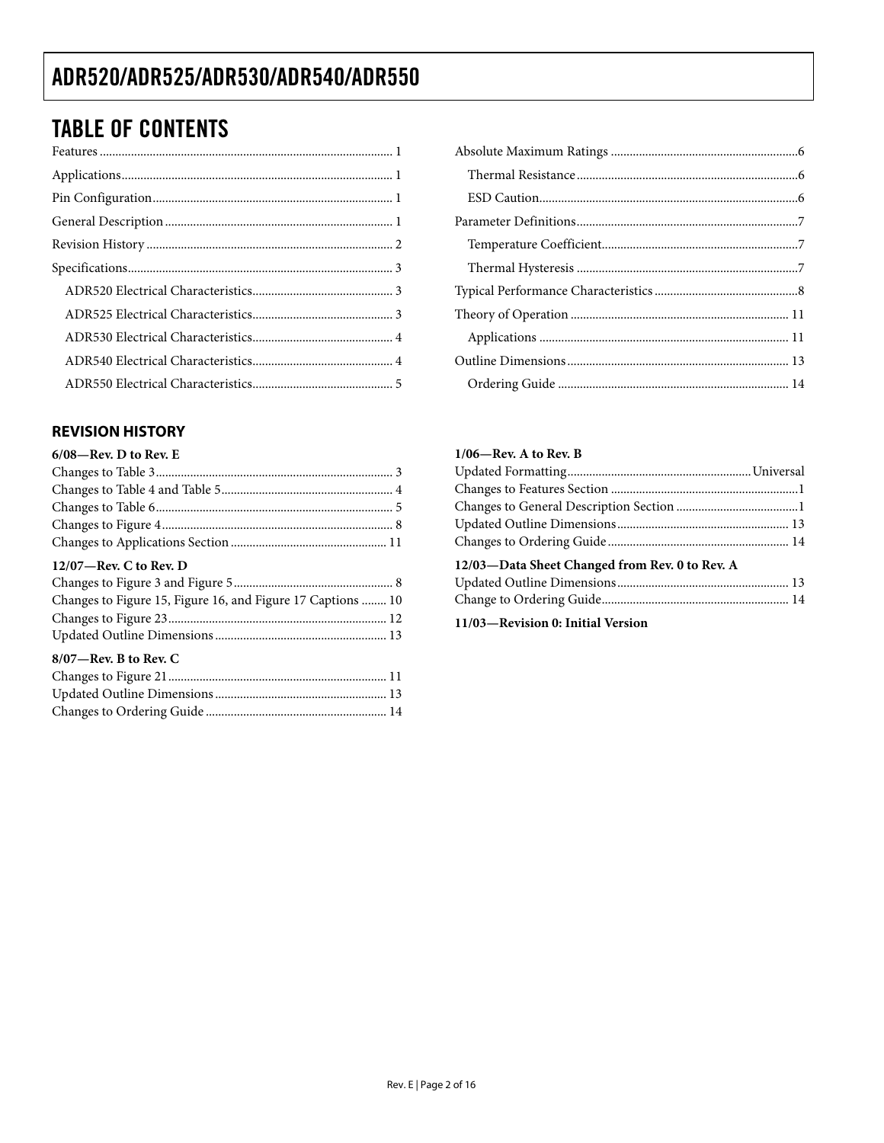## <span id="page-1-0"></span>TABLE OF CONTENTS

#### **REVISION HISTORY**

| $6/08$ –Rev. D to Rev. E                                    |
|-------------------------------------------------------------|
|                                                             |
|                                                             |
|                                                             |
|                                                             |
|                                                             |
| $12/07$ —Rev. C to Rev. D                                   |
|                                                             |
| Changes to Figure 15, Figure 16, and Figure 17 Captions  10 |
|                                                             |
|                                                             |

#### <span id="page-1-1"></span>**8/07—Rev. B to Rev. C**

<span id="page-1-2"></span>

#### **1/06—Rev. A to Rev. B**

| 12/03—Data Sheet Changed from Rev. 0 to Rev. A |  |
|------------------------------------------------|--|
|                                                |  |
|                                                |  |
|                                                |  |

**11/03—Revision 0: Initial Version**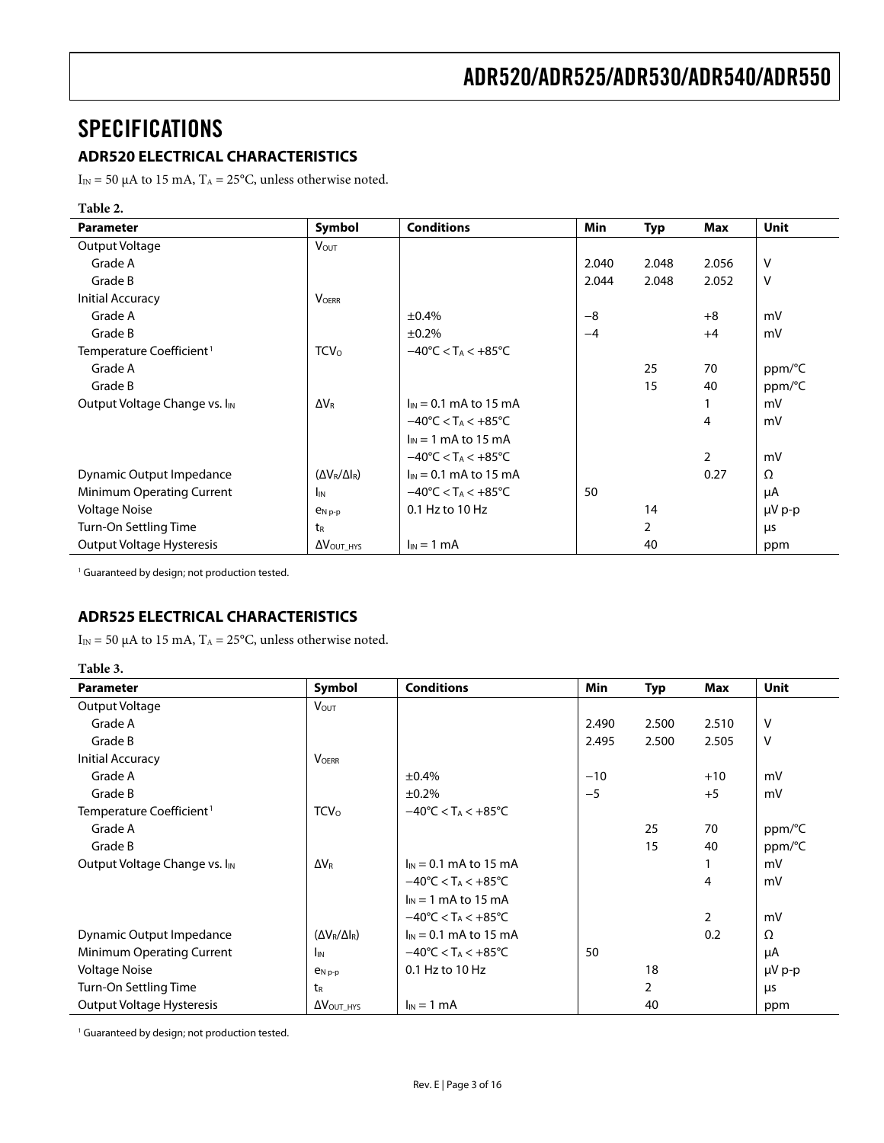### <span id="page-2-1"></span><span id="page-2-0"></span>SPECIFICATIONS

#### **ADR520 ELECTRICAL CHARACTERISTICS**

I<sub>IN</sub> = 50 μA to 15 mA, T<sub>A</sub> = 25°C, unless otherwise noted.

#### **Table 2.**

| <b>Parameter</b>                          | Symbol                       | <b>Conditions</b>                                  | <b>Min</b> | <b>Typ</b>     | <b>Max</b>     | <b>Unit</b> |
|-------------------------------------------|------------------------------|----------------------------------------------------|------------|----------------|----------------|-------------|
| Output Voltage                            | <b>VOUT</b>                  |                                                    |            |                |                |             |
| Grade A                                   |                              |                                                    | 2.040      | 2.048          | 2.056          | v           |
| Grade B                                   |                              |                                                    | 2.044      | 2.048          | 2.052          | $\vee$      |
| <b>Initial Accuracy</b>                   | <b>VOERR</b>                 |                                                    |            |                |                |             |
| Grade A                                   |                              | ±0.4%                                              | $-8$       |                | $+8$           | mV          |
| Grade B                                   |                              | ±0.2%                                              | $-4$       |                | $+4$           | mV          |
| Temperature Coefficient <sup>1</sup>      | TCV <sub>o</sub>             | $-40^{\circ}$ C < T <sub>A</sub> < $+85^{\circ}$ C |            |                |                |             |
| Grade A                                   |                              |                                                    |            | 25             | 70             | ppm/°C      |
| Grade B                                   |                              |                                                    |            | 15             | 40             | ppm/°C      |
| Output Voltage Change vs. I <sub>IN</sub> | $\Delta V_{\rm R}$           | $I_{IN} = 0.1$ mA to 15 mA                         |            |                |                | mV          |
|                                           |                              | $-40^{\circ}$ C < T <sub>A</sub> < $+85^{\circ}$ C |            |                | 4              | mV          |
|                                           |                              | $I_{IN}$ = 1 mA to 15 mA                           |            |                |                |             |
|                                           |                              | $-40^{\circ}$ C < T <sub>A</sub> < $+85^{\circ}$ C |            |                | $\overline{2}$ | mV          |
| Dynamic Output Impedance                  | $(\Delta V_R/\Delta I_R)$    | $I_{IN} = 0.1$ mA to 15 mA                         |            |                | 0.27           | Ω           |
| Minimum Operating Current                 | I <sub>IN</sub>              | $-40^{\circ}$ C < T <sub>A</sub> < $+85^{\circ}$ C | 50         |                |                | μA          |
| <b>Voltage Noise</b>                      | $e_{N,p-p}$                  | 0.1 Hz to 10 Hz                                    |            | 14             |                | µV p-p      |
| Turn-On Settling Time                     | t <sub>R</sub>               |                                                    |            | $\overline{2}$ |                | μs          |
| Output Voltage Hysteresis                 | $\Delta V_{\text{OUT\_HYS}}$ | $I_{IN} = 1$ mA                                    |            | 40             |                | ppm         |

<span id="page-2-2"></span><sup>1</sup> Guaranteed by design; not production tested.

#### **ADR525 ELECTRICAL CHARACTERISTICS**

I<sub>IN</sub> = 50 μA to 15 mA, T<sub>A</sub> = 25°C, unless otherwise noted.

| וחו<br>н |
|----------|
|----------|

| <b>Parameter</b>                          | Symbol                       | <b>Conditions</b>                                  | <b>Min</b> | <b>Typ</b>     | Max            | Unit        |
|-------------------------------------------|------------------------------|----------------------------------------------------|------------|----------------|----------------|-------------|
| Output Voltage                            | <b>Vout</b>                  |                                                    |            |                |                |             |
| Grade A                                   |                              |                                                    | 2.490      | 2.500          | 2.510          | V           |
| Grade B                                   |                              |                                                    | 2.495      | 2.500          | 2.505          | $\vee$      |
| <b>Initial Accuracy</b>                   | <b>VOFRR</b>                 |                                                    |            |                |                |             |
| Grade A                                   |                              | ±0.4%                                              | $-10$      |                | $+10$          | mV          |
| Grade B                                   |                              | ±0.2%                                              | $-5$       |                | $+5$           | mV          |
| Temperature Coefficient <sup>1</sup>      | <b>TCV</b> <sub>0</sub>      | $-40^{\circ}$ C < T <sub>A</sub> < $+85^{\circ}$ C |            |                |                |             |
| Grade A                                   |                              |                                                    |            | 25             | 70             | ppm/°C      |
| Grade B                                   |                              |                                                    |            | 15             | 40             | ppm/°C      |
| Output Voltage Change vs. I <sub>IN</sub> | $\Delta V_{\rm R}$           | $I_{IN} = 0.1$ mA to 15 mA                         |            |                |                | mV          |
|                                           |                              | $-40^{\circ}$ C < T <sub>A</sub> < $+85^{\circ}$ C |            |                | 4              | mV          |
|                                           |                              | $I_{IN} = 1$ mA to 15 mA                           |            |                |                |             |
|                                           |                              | $-40^{\circ}$ C < T <sub>A</sub> < $+85^{\circ}$ C |            |                | $\overline{2}$ | mV          |
| Dynamic Output Impedance                  | $(\Delta V_R/\Delta I_R)$    | $I_{IN} = 0.1$ mA to 15 mA                         |            |                | 0.2            | Ω           |
| Minimum Operating Current                 | <b>I<sub>IN</sub></b>        | $-40^{\circ}$ C < T <sub>A</sub> < $+85^{\circ}$ C | 50         |                |                | μA          |
| <b>Voltage Noise</b>                      | $P_{N,p-p}$                  | 0.1 Hz to 10 Hz                                    |            | 18             |                | $\mu V$ p-p |
| Turn-On Settling Time                     | t <sub>R</sub>               |                                                    |            | $\overline{2}$ |                | μs          |
| Output Voltage Hysteresis                 | $\Delta V_{\text{OUT\_HYS}}$ | $I_{IN} = 1$ mA                                    |            | 40             |                | ppm         |

<span id="page-2-4"></span><span id="page-2-3"></span>1 Guaranteed by design; not production tested.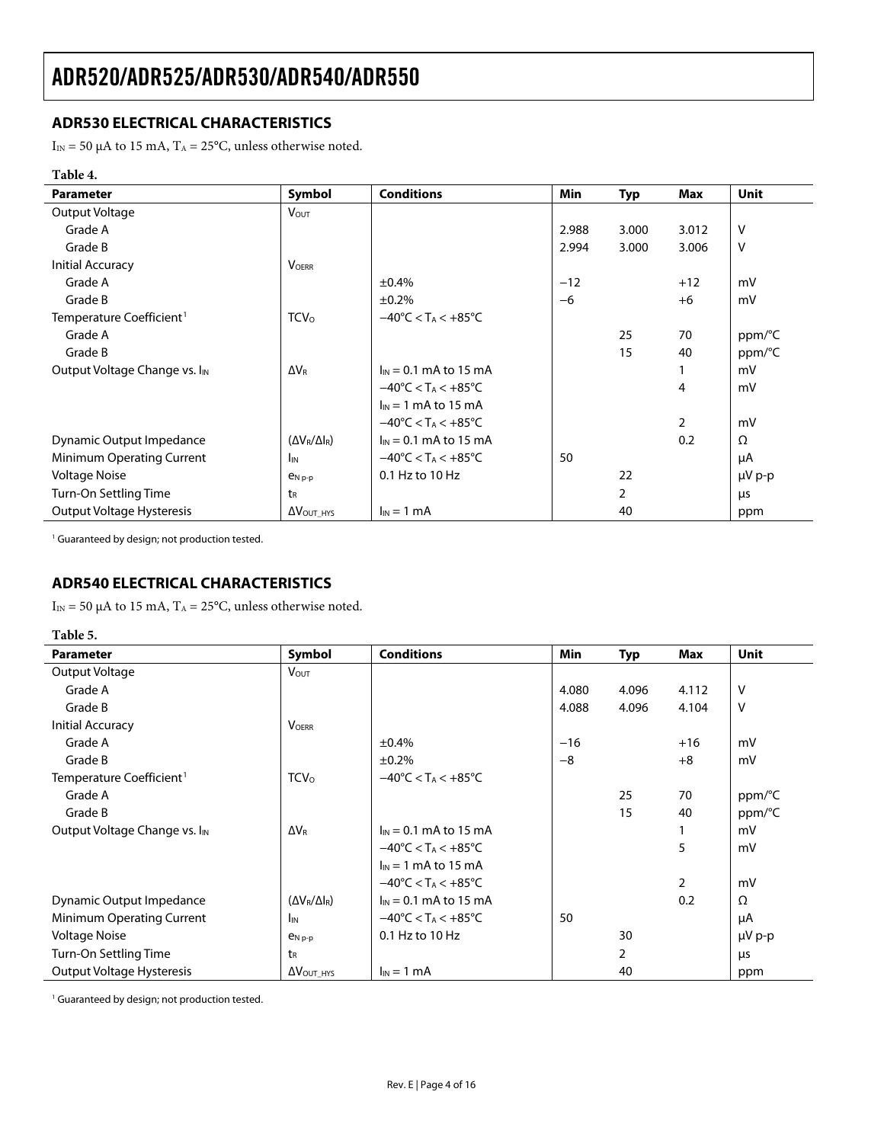#### <span id="page-3-1"></span><span id="page-3-0"></span>**ADR530 ELECTRICAL CHARACTERISTICS**

I<sub>IN</sub> = 50 μA to 15 mA, T<sub>A</sub> = 25°C, unless otherwise noted.

#### **Table 4.**

| <b>Parameter</b>                          | Symbol                       | <b>Conditions</b>                                  | Min   | <b>Typ</b>     | Max            | Unit        |
|-------------------------------------------|------------------------------|----------------------------------------------------|-------|----------------|----------------|-------------|
| Output Voltage                            | <b>VOUT</b>                  |                                                    |       |                |                |             |
| Grade A                                   |                              |                                                    | 2.988 | 3.000          | 3.012          | $\vee$      |
| Grade B                                   |                              |                                                    | 2.994 | 3.000          | 3.006          | $\vee$      |
| Initial Accuracy                          | <b>VOFRR</b>                 |                                                    |       |                |                |             |
| Grade A                                   |                              | ±0.4%                                              | $-12$ |                | $+12$          | mV          |
| Grade B                                   |                              | ±0.2%                                              | $-6$  |                | $+6$           | mV          |
| Temperature Coefficient <sup>1</sup>      | <b>TCV</b> <sub>0</sub>      | $-40^{\circ}$ C < T <sub>A</sub> < $+85^{\circ}$ C |       |                |                |             |
| Grade A                                   |                              |                                                    |       | 25             | 70             | ppm/°C      |
| Grade B                                   |                              |                                                    |       | 15             | 40             | ppm/°C      |
| Output Voltage Change vs. I <sub>IN</sub> | $\Delta V_{\rm R}$           | $I_{IN} = 0.1$ mA to 15 mA                         |       |                |                | mV          |
|                                           |                              | $-40^{\circ}$ C < T <sub>A</sub> < $+85^{\circ}$ C |       |                | 4              | mV          |
|                                           |                              | $\ln 1$ mA to 15 mA                                |       |                |                |             |
|                                           |                              | $-40^{\circ}$ C < T <sub>A</sub> < $+85^{\circ}$ C |       |                | $\overline{2}$ | mV          |
| Dynamic Output Impedance                  | $(\Delta V_R/\Delta I_R)$    | $I_{IN} = 0.1$ mA to 15 mA                         |       |                | 0.2            | $\Omega$    |
| Minimum Operating Current                 | I <sub>IN</sub>              | $-40^{\circ}$ C < T <sub>A</sub> < $+85^{\circ}$ C | 50    |                |                | μA          |
| <b>Voltage Noise</b>                      | $P_{N,p-p}$                  | 0.1 Hz to 10 Hz                                    |       | 22             |                | $\mu V$ p-p |
| Turn-On Settling Time                     | tR                           |                                                    |       | $\overline{2}$ |                | μs          |
| Output Voltage Hysteresis                 | $\Delta V_{\text{OUT\_HYS}}$ | $I_{IN} = 1$ mA                                    |       | 40             |                | ppm         |

<sup>1</sup> Guaranteed by design; not production tested.

#### **ADR540 ELECTRICAL CHARACTERISTICS**

I<sub>IN</sub> = 50 μA to 15 mA, T<sub>A</sub> = 25°C, unless otherwise noted.

#### **Table 5.**

| <b>Parameter</b>                          | Symbol                       | <b>Conditions</b>                                  | <b>Min</b> | <b>Typ</b> | Max            | <b>Unit</b> |
|-------------------------------------------|------------------------------|----------------------------------------------------|------------|------------|----------------|-------------|
| Output Voltage                            | <b>V</b> <sub>OUT</sub>      |                                                    |            |            |                |             |
| Grade A                                   |                              |                                                    | 4.080      | 4.096      | 4.112          | V           |
| Grade B                                   |                              |                                                    | 4.088      | 4.096      | 4.104          | V           |
| Initial Accuracy                          | <b>VOERR</b>                 |                                                    |            |            |                |             |
| Grade A                                   |                              | ±0.4%                                              | $-16$      |            | $+16$          | mV          |
| Grade B                                   |                              | ±0.2%                                              | $-8$       |            | $+8$           | mV          |
| Temperature Coefficient <sup>1</sup>      | <b>TCV</b> <sub>0</sub>      | $-40^{\circ}$ C < T <sub>A</sub> < $+85^{\circ}$ C |            |            |                |             |
| Grade A                                   |                              |                                                    |            | 25         | 70             | ppm/°C      |
| Grade B                                   |                              |                                                    |            | 15         | 40             | ppm/°C      |
| Output Voltage Change vs. I <sub>IN</sub> | $\Delta V_R$                 | $I_{IN} = 0.1$ mA to 15 mA                         |            |            |                | mV          |
|                                           |                              | $-40^{\circ}$ C < T <sub>A</sub> < $+85^{\circ}$ C |            |            | 5              | mV          |
|                                           |                              | $\ln 1$ mA to 15 mA                                |            |            |                |             |
|                                           |                              | $-40^{\circ}$ C < T <sub>A</sub> < $+85^{\circ}$ C |            |            | $\overline{2}$ | mV          |
| Dynamic Output Impedance                  | $(\Delta V_R/\Delta I_R)$    | $I_{IN} = 0.1$ mA to 15 mA                         |            |            | 0.2            | Ω           |
| Minimum Operating Current                 | I <sub>IN</sub>              | $-40^{\circ}$ C < T <sub>A</sub> < $+85^{\circ}$ C | 50         |            |                | μA          |
| <b>Voltage Noise</b>                      | $e_{N,p-p}$                  | 0.1 Hz to 10 Hz                                    |            | 30         |                | $\mu V$ p-p |
| Turn-On Settling Time                     | t <sub>R</sub>               |                                                    |            | 2          |                | μs          |
| Output Voltage Hysteresis                 | $\Delta V_{\text{OUT\_HYS}}$ | $I_{IN} = 1$ mA                                    |            | 40         |                | ppm         |

<sup>1</sup> Guaranteed by design; not production tested.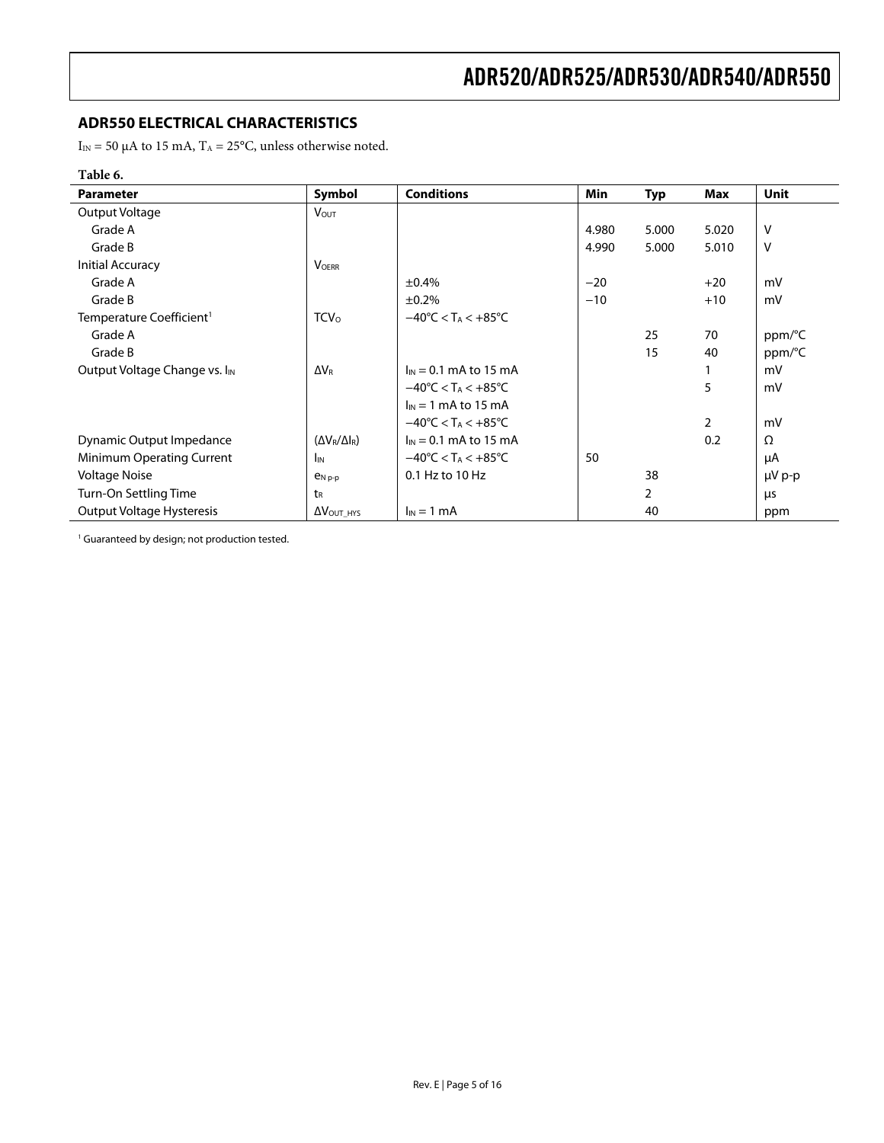#### <span id="page-4-0"></span>**ADR550 ELECTRICAL CHARACTERISTICS**

I<sub>IN</sub> = 50 μA to 15 mA, T<sub>A</sub> = 25°C, unless otherwise noted.

#### **Table 6.**

l,

| <b>Parameter</b>                          | Symbol                      | <b>Conditions</b>                                  | Min   | <b>Typ</b>     | <b>Max</b>     | <b>Unit</b> |
|-------------------------------------------|-----------------------------|----------------------------------------------------|-------|----------------|----------------|-------------|
| Output Voltage                            | <b>VOUT</b>                 |                                                    |       |                |                |             |
| Grade A                                   |                             |                                                    | 4.980 | 5.000          | 5.020          | v           |
| Grade B                                   |                             |                                                    | 4.990 | 5.000          | 5.010          | v           |
| Initial Accuracy                          | <b>VOFRR</b>                |                                                    |       |                |                |             |
| Grade A                                   |                             | ±0.4%                                              | $-20$ |                | $+20$          | mV          |
| Grade B                                   |                             | ±0.2%                                              | $-10$ |                | $+10$          | mV          |
| Temperature Coefficient <sup>1</sup>      | <b>TCV</b> <sub>0</sub>     | $-40^{\circ}$ C < T <sub>A</sub> < $+85^{\circ}$ C |       |                |                |             |
| Grade A                                   |                             |                                                    |       | 25             | 70             | ppm/°C      |
| Grade B                                   |                             |                                                    |       | 15             | 40             | ppm/°C      |
| Output Voltage Change vs. I <sub>IN</sub> | $\Delta V_R$                | $I_{IN} = 0.1$ mA to 15 mA                         |       |                |                | mV          |
|                                           |                             | $-40^{\circ}$ C < T <sub>A</sub> < $+85^{\circ}$ C |       |                | 5              | mV          |
|                                           |                             | $I_{IN} = 1$ mA to 15 mA                           |       |                |                |             |
|                                           |                             | $-40^{\circ}$ C < T <sub>A</sub> < $+85^{\circ}$ C |       |                | $\overline{2}$ | mV          |
| Dynamic Output Impedance                  | $(\Delta V_R/\Delta I_R)$   | $I_{IN}$ = 0.1 mA to 15 mA                         |       |                | 0.2            | Ω           |
| Minimum Operating Current                 | <b>I</b> IN                 | $-40^{\circ}$ C < T <sub>A</sub> < $+85^{\circ}$ C | 50    |                |                | μA          |
| <b>Voltage Noise</b>                      | $P_{N,p-p}$                 | 0.1 Hz to 10 Hz                                    |       | 38             |                | µV p-p      |
| Turn-On Settling Time                     | t <sub>R</sub>              |                                                    |       | $\overline{2}$ |                | μs          |
| Output Voltage Hysteresis                 | $\Delta V_{\text{OUT HYS}}$ | $I_{IN} = 1$ mA                                    |       | 40             |                | ppm         |

<sup>1</sup> Guaranteed by design; not production tested.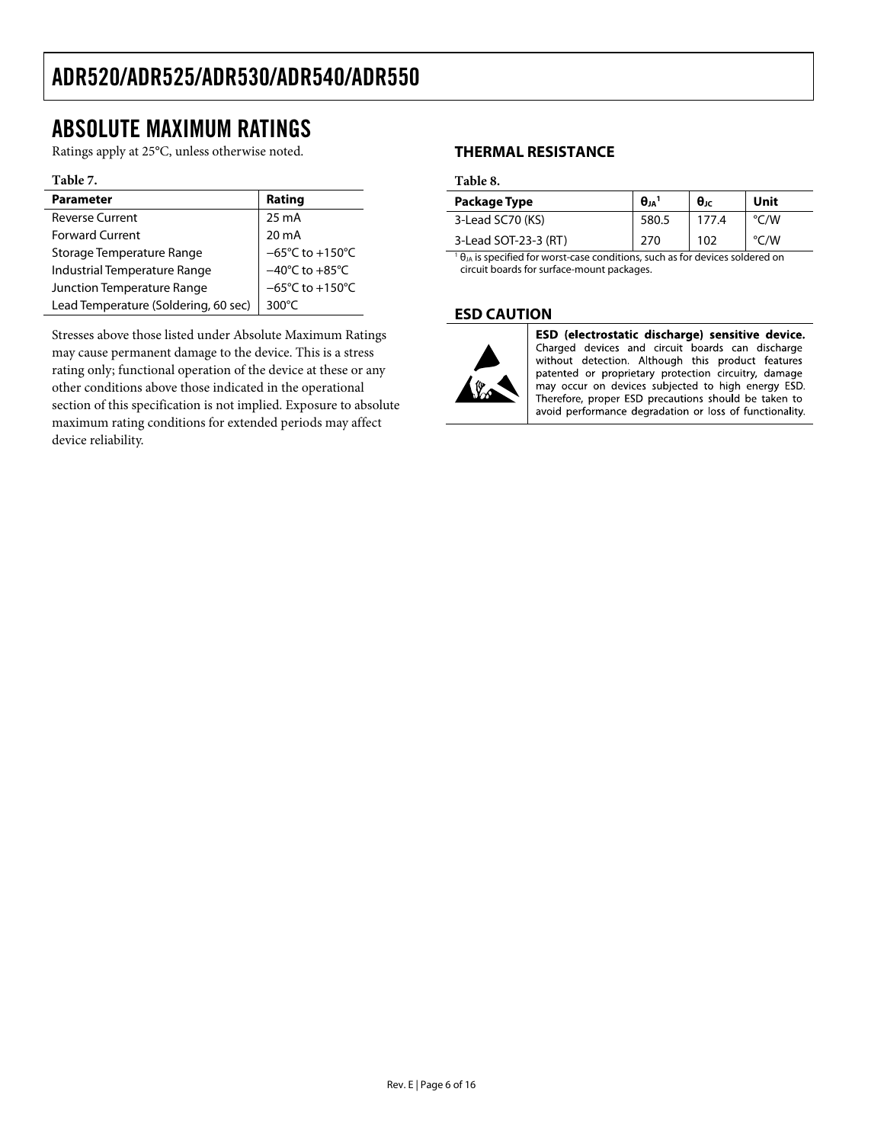### <span id="page-5-0"></span>ABSOLUTE MAXIMUM RATINGS

Ratings apply at 25°C, unless otherwise noted.

#### **Table 7.**

| <b>Parameter</b>                     | Rating                               |
|--------------------------------------|--------------------------------------|
| <b>Reverse Current</b>               | 25 mA                                |
| <b>Forward Current</b>               | 20 mA                                |
| Storage Temperature Range            | $-65^{\circ}$ C to +150 $^{\circ}$ C |
| Industrial Temperature Range         | $-40^{\circ}$ C to $+85^{\circ}$ C   |
| Junction Temperature Range           | $-65^{\circ}$ C to +150 $^{\circ}$ C |
| Lead Temperature (Soldering, 60 sec) | 300 $\degree$ C                      |

Stresses above those listed under Absolute Maximum Ratings may cause permanent damage to the device. This is a stress rating only; functional operation of the device at these or any other conditions above those indicated in the operational section of this specification is not implied. Exposure to absolute maximum rating conditions for extended periods may affect device reliability.

#### **THERMAL RESISTANCE**

#### **Table 8.**

| Package Type                                                                           | $\theta_{JA}$ <sup>1</sup> | $\theta_{\text{JC}}$ | Unit               |  |  |  |  |
|----------------------------------------------------------------------------------------|----------------------------|----------------------|--------------------|--|--|--|--|
| 3-Lead SC70 (KS)                                                                       | 580.5                      | 177.4                | °C/W               |  |  |  |  |
| 3-Lead SOT-23-3 (RT)                                                                   | 270                        | 102                  | $\rm ^{\circ}$ C/W |  |  |  |  |
| $1\theta_{JA}$ is specified for worst-case conditions, such as for devices soldered on |                            |                      |                    |  |  |  |  |

circuit boards for surface-mount packages.

#### **ESD CAUTION**



ESD (electrostatic discharge) sensitive device. Charged devices and circuit boards can discharge without detection. Although this product features patented or proprietary protection circuitry, damage may occur on devices subjected to high energy ESD. Therefore, proper ESD precautions should be taken to avoid performance degradation or loss of functionality.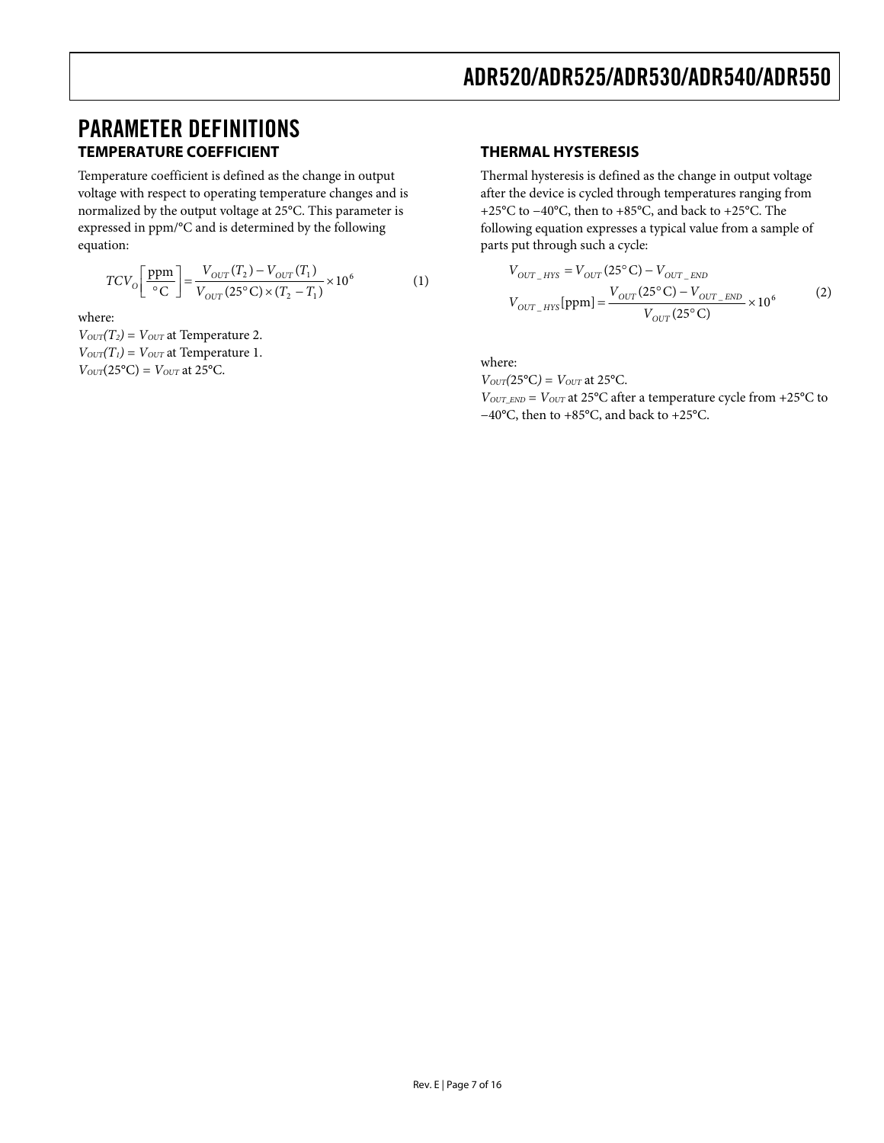### <span id="page-6-0"></span>PARAMETER DEFINITIONS **TEMPERATURE COEFFICIENT**

Temperature coefficient is defined as the change in output voltage with respect to operating temperature changes and is normalized by the output voltage at 25°C. This parameter is expressed in ppm/°C and is determined by the following equation:

$$
TCV_{O}\left[\frac{\text{ppm}}{\text{°C}}\right] = \frac{V_{OUT}(T_2) - V_{OUT}(T_1)}{V_{OUT}(25\text{°C}) \times (T_2 - T_1)} \times 10^6 \tag{1}
$$

where:

 $V_{OUT}(T_2) = V_{OUT}$  at Temperature 2.  $V_{OUT}(T_1) = V_{OUT}$  at Temperature 1.  $V_{OUT}(25^{\circ}C) = V_{OUT}$  at 25 $^{\circ}C$ .

#### **THERMAL HYSTERESIS**

Thermal hysteresis is defined as the change in output voltage after the device is cycled through temperatures ranging from +25°C to −40°C, then to +85°C, and back to +25°C. The following equation expresses a typical value from a sample of parts put through such a cycle:

$$
V_{OUT\_HYS} = V_{OUT}(25^{\circ}C) - V_{OUT\_END}
$$
  
\n
$$
V_{OUT\_HYS}[ppm] = \frac{V_{OUT}(25^{\circ}C) - V_{OUT\_END}}{V_{OUT}(25^{\circ}C)} \times 10^6
$$
 (2)

where:

 $V_{OUT}(25^{\circ}C) = V_{OUT}$  at 25 $^{\circ}C$ .

 $V_{OUT\_END}$  =  $V_{OUT}$  at 25 $°C$  after a temperature cycle from +25 $°C$  to −40°C, then to +85°C, and back to +25°C.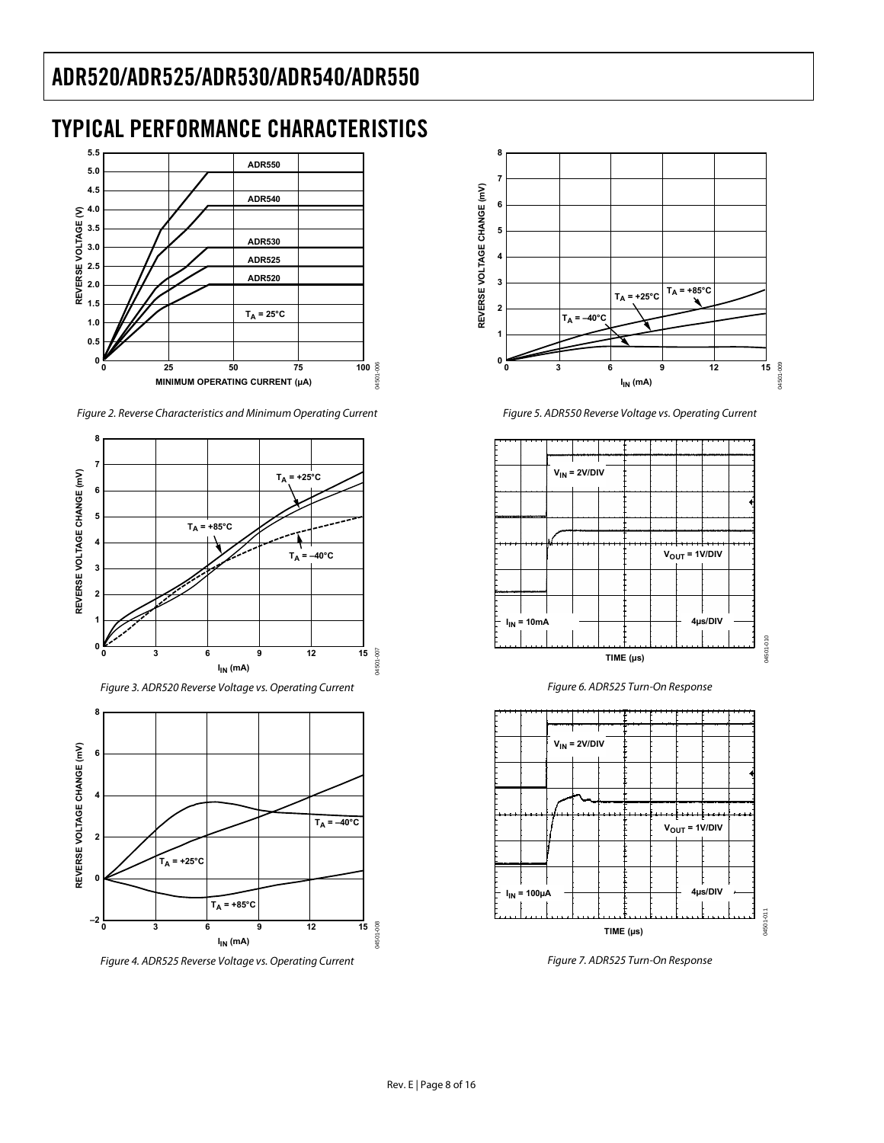# <span id="page-7-0"></span>TYPICAL PERFORMANCE CHARACTERISTICS



Figure 2. Reverse Characteristics and Minimum Operating Current



Figure 3. ADR520 Reverse Voltage vs. Operating Current



Figure 4. ADR525 Reverse Voltage vs. Operating Current



Figure 5. ADR550 Reverse Voltage vs. Operating Current



Figure 6. ADR525 Turn-On Response



Figure 7. ADR525 Turn-On Response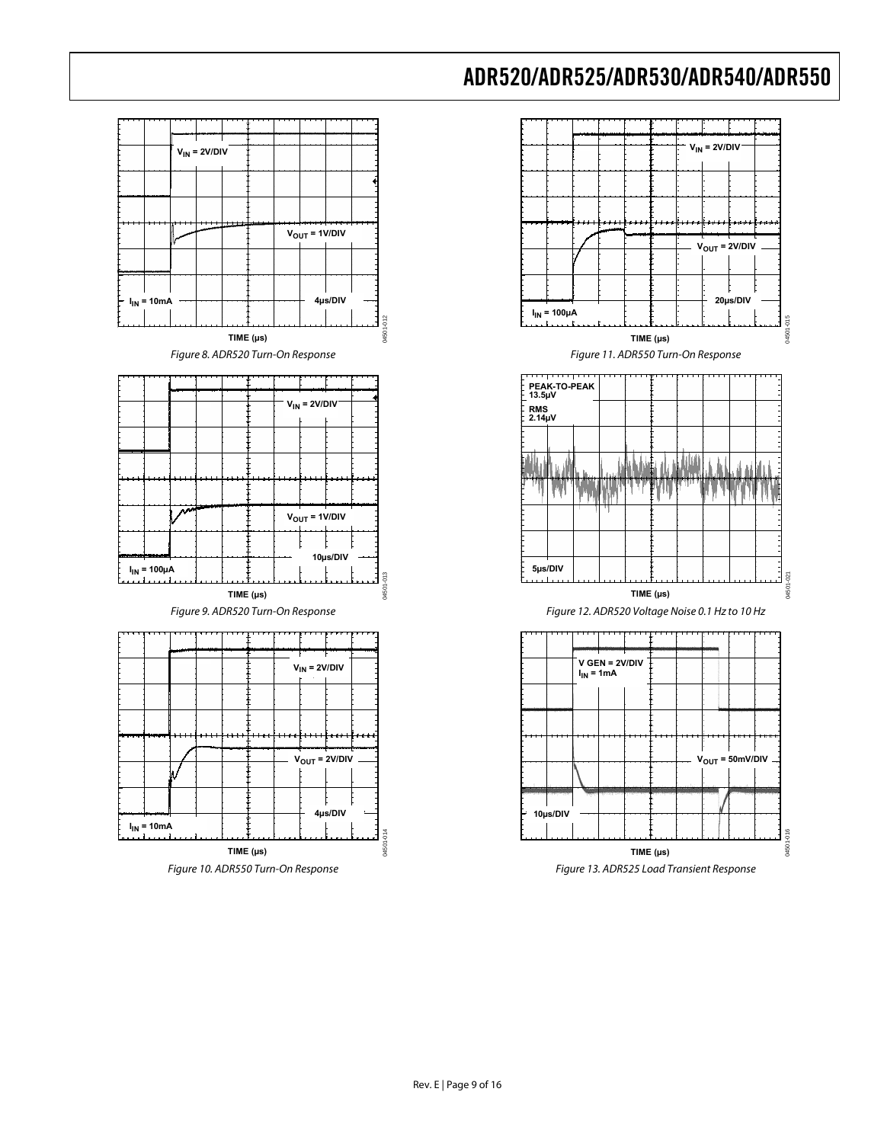





Figure 13. ADR525 Load Transient Response

Rev. E | Page 9 of 16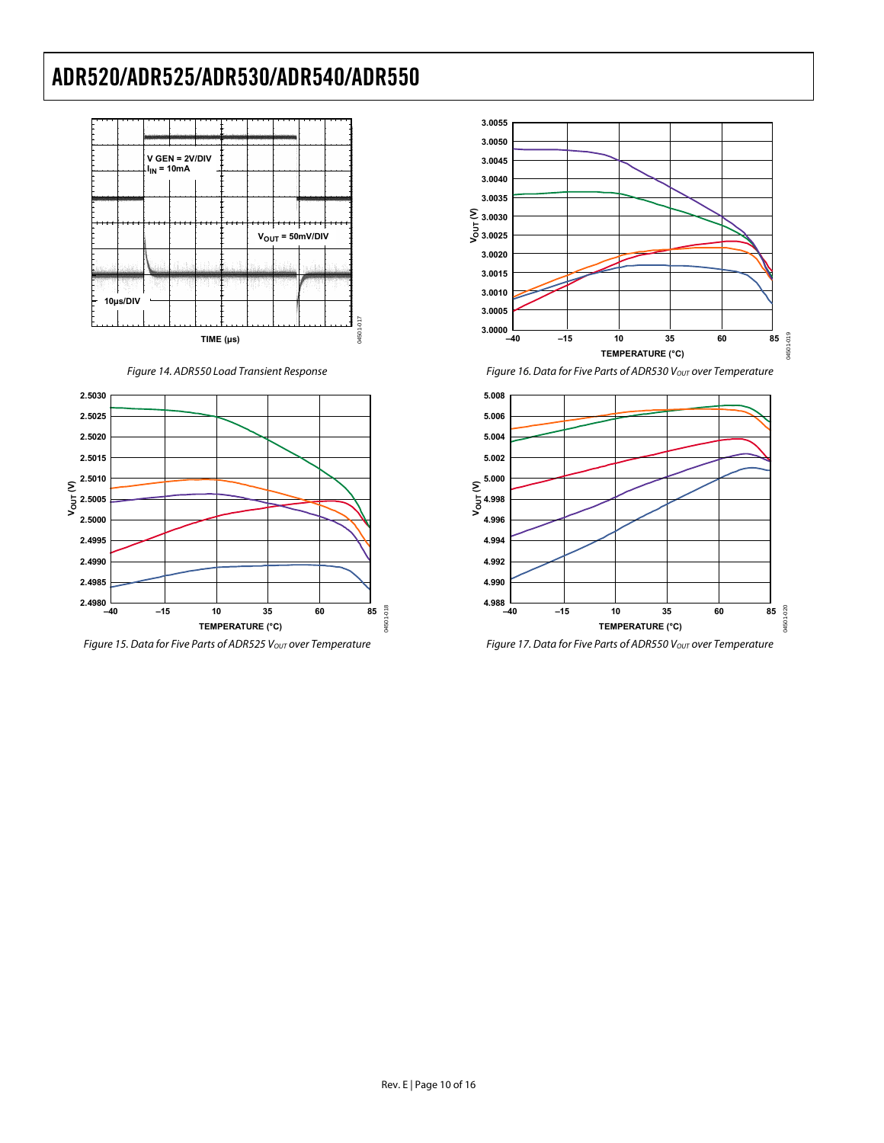

Figure 14. ADR550 Load Transient Response



Figure 15. Data for Five Parts of ADR525 Vout over Temperature



Figure 16. Data for Five Parts of ADR530 Vout over Temperature



Figure 17. Data for Five Parts of ADR550 Vout over Temperature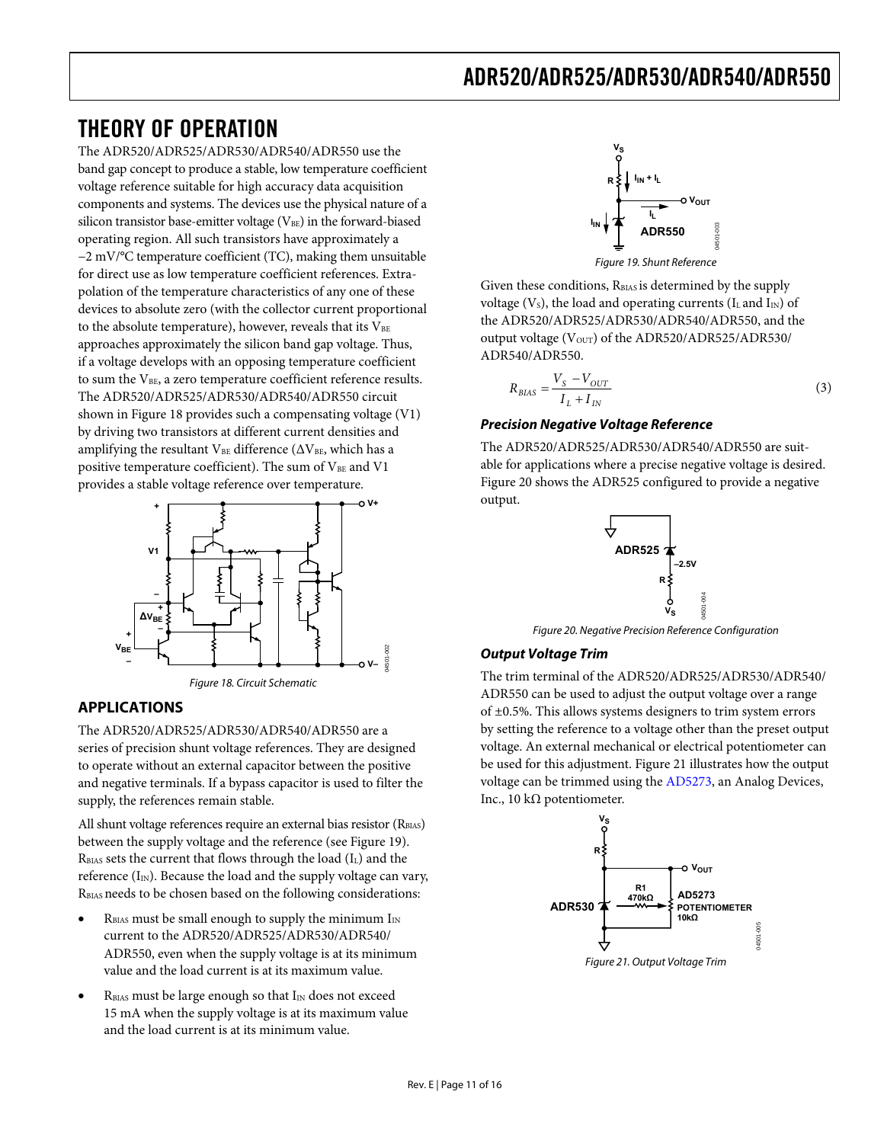### <span id="page-10-1"></span><span id="page-10-0"></span>THEORY OF OPERATION

The ADR520/ADR525/ADR530/ADR540/ADR550 use the band gap concept to produce a stable, low temperature coefficient voltage reference suitable for high accuracy data acquisition components and systems. The devices use the physical nature of a silicon transistor base-emitter voltage ( $V<sub>BE</sub>$ ) in the forward-biased operating region. All such transistors have approximately a −2 mV/°C temperature coefficient (TC), making them unsuitable for direct use as low temperature coefficient references. Extrapolation of the temperature characteristics of any one of these devices to absolute zero (with the collector current proportional to the absolute temperature), however, reveals that its  $V_{BE}$ approaches approximately the silicon band gap voltage. Thus, if a voltage develops with an opposing temperature coefficient to sum the V<sub>BE</sub>, a zero temperature coefficient reference results. The ADR520/ADR525/ADR530/ADR540/ADR550 circuit shown in [Figure 18](#page-10-2) provides such a compensating voltage (V1) by driving two transistors at different current densities and amplifying the resultant  $V_{BE}$  difference ( $\Delta V_{BE}$ , which has a positive temperature coefficient). The sum of  $V_{BE}$  and V1 provides a stable voltage reference over temperature.



#### <span id="page-10-3"></span><span id="page-10-2"></span>**APPLICATIONS**

The ADR520/ADR525/ADR530/ADR540/ADR550 are a series of precision shunt voltage references. They are designed to operate without an external capacitor between the positive and negative terminals. If a bypass capacitor is used to filter the supply, the references remain stable.

All shunt voltage references require an external bias resistor (RBIAS) between the supply voltage and the reference (see Figure 19).  $R<sub>BIAS</sub> sets the current that flows through the load (I<sub>L</sub>) and the$ reference  $(I_{IN})$ . Because the load and the supply voltage can vary, RBIAS needs to be chosen based on the following considerations:

- $R<sub>BIAS</sub>$  must be small enough to supply the minimum  $I<sub>IN</sub>$ current to the ADR520/ADR525/ADR530/ADR540/ ADR550, even when the supply voltage is at its minimum value and the load current is at its maximum value.
- <span id="page-10-4"></span>RBIAS must be large enough so that I<sub>IN</sub> does not exceed 15 mA when the supply voltage is at its maximum value and the load current is at its minimum value.



Given these conditions, R<sub>BIAS</sub> is determined by the supply voltage ( $V_s$ ), the load and operating currents ( $I_L$  and  $I_{IN}$ ) of the ADR520/ADR525/ADR530/ADR540/ADR550, and the output voltage ( $V_{\text{OUT}}$ ) of the ADR520/ADR525/ADR530/ ADR540/ADR550.

$$
R_{BIAS} = \frac{V_S - V_{OUT}}{I_L + I_{IN}}\tag{3}
$$

#### **Precision Negative Voltage Reference**

The ADR520/ADR525/ADR530/ADR540/ADR550 are suitable for applications where a precise negative voltage is desired. [Figure 20](#page-10-3) shows the ADR525 configured to provide a negative output.



Figure 20. Negative Precision Reference Configuration

#### **Output Voltage Trim**

The trim terminal of the ADR520/ADR525/ADR530/ADR540/ ADR550 can be used to adjust the output voltage over a range of ±0.5%. This allows systems designers to trim system errors by setting the reference to a voltage other than the preset output voltage. An external mechanical or electrical potentiometer can be used for this adjustment. [Figure 21](#page-10-4) illustrates how the output voltage can be trimmed using the [AD5273](http://www.analog.com/AD5273), an Analog Devices, Inc., 10 kΩ potentiometer.

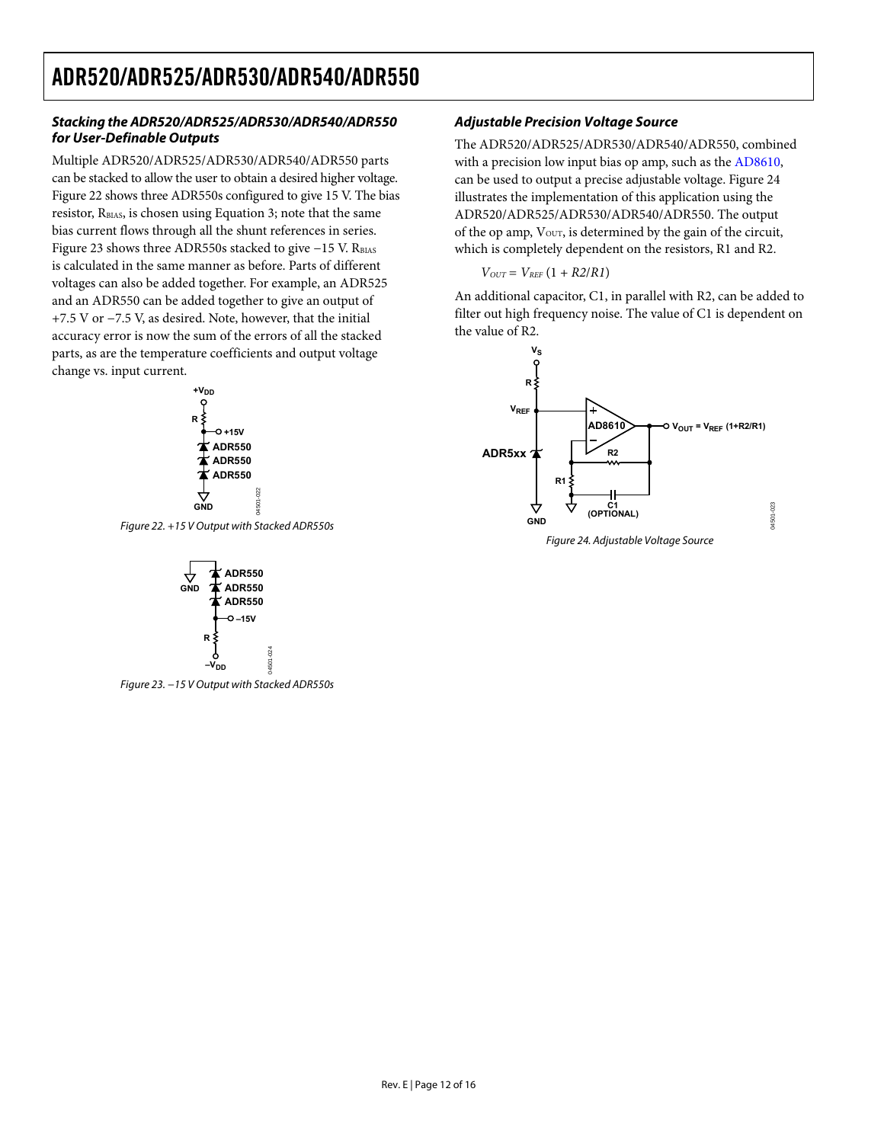#### **Stacking the ADR520/ADR525/ADR530/ADR540/ADR550 for User-Definable Outputs**

Multiple ADR520/ADR525/ADR530/ADR540/ADR550 parts can be stacked to allow the user to obtain a desired higher voltage. [Figure 22](#page-11-0) shows three ADR550s configured to give 15 V. The bias resistor,  $R<sub>BIAS</sub>$ , is chosen using Equation 3; note that the same bias current flows through all the shunt references in series. [Figure 23](#page-11-1) shows three ADR550s stacked to give  $-15$  V. R<sub>BIAS</sub> is calculated in the same manner as before. Parts of different voltages can also be added together. For example, an ADR525 and an ADR550 can be added together to give an output of +7.5 V or −7.5 V, as desired. Note, however, that the initial accuracy error is now the sum of the errors of all the stacked parts, as are the temperature coefficients and output voltage change vs. input current.



<span id="page-11-2"></span><span id="page-11-0"></span>Figure 22. +15 V Output with Stacked ADR550s

04501-022

 $022$ 1501



<span id="page-11-1"></span>Figure 23. −15 V Output with Stacked ADR550s

#### **Adjustable Precision Voltage Source**

The ADR520/ADR525/ADR530/ADR540/ADR550, combined with a precision low input bias op amp, such as the [AD8610,](http://www.analog.com/AD8610) can be used to output a precise adjustable voltage. [Figure 24](#page-11-2) illustrates the implementation of this application using the ADR520/ADR525/ADR530/ADR540/ADR550. The output of the op amp,  $V<sub>OUT</sub>$ , is determined by the gain of the circuit, which is completely dependent on the resistors, R1 and R2.

$$
V_{OUT}=V_{REF}\left(1+R2/R1\right)
$$

An additional capacitor, C1, in parallel with R2, can be added to filter out high frequency noise. The value of C1 is dependent on the value of R2.



Figure 24. Adjustable Voltage Source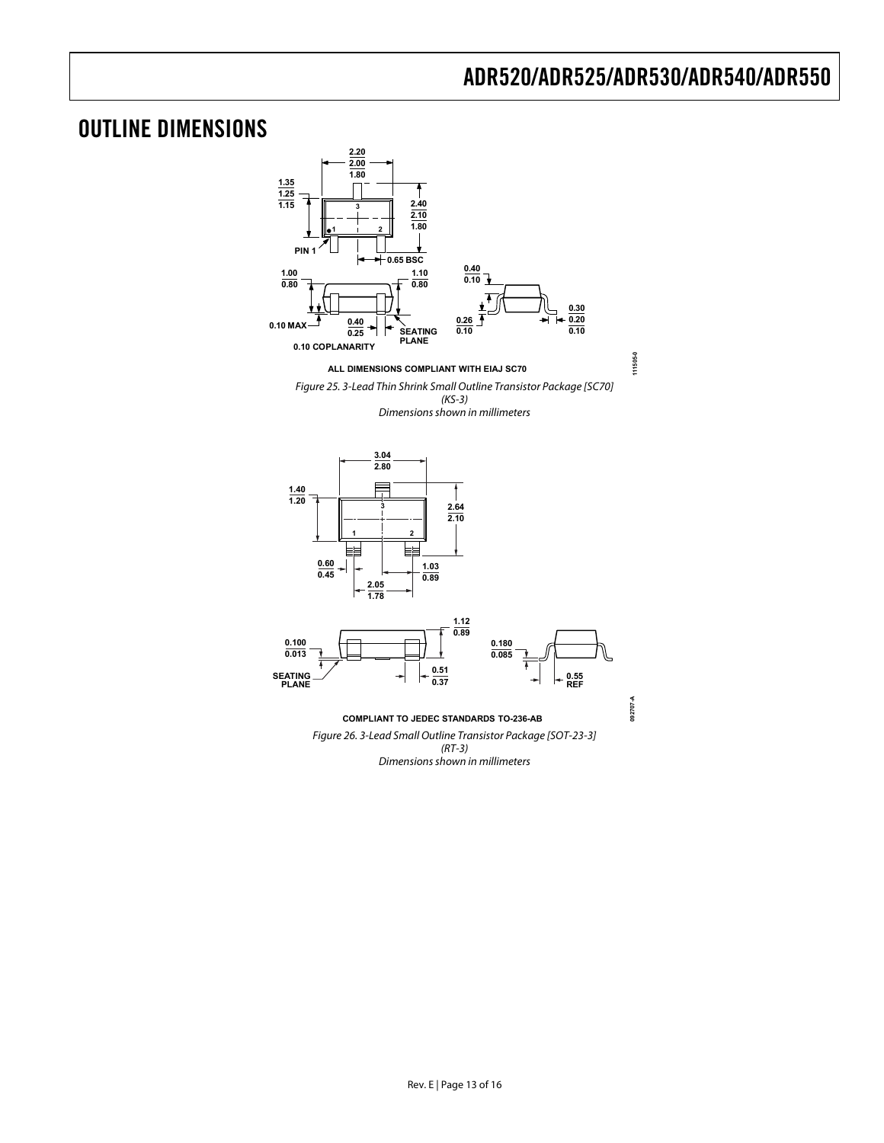### <span id="page-12-0"></span>OUTLINE DIMENSIONS

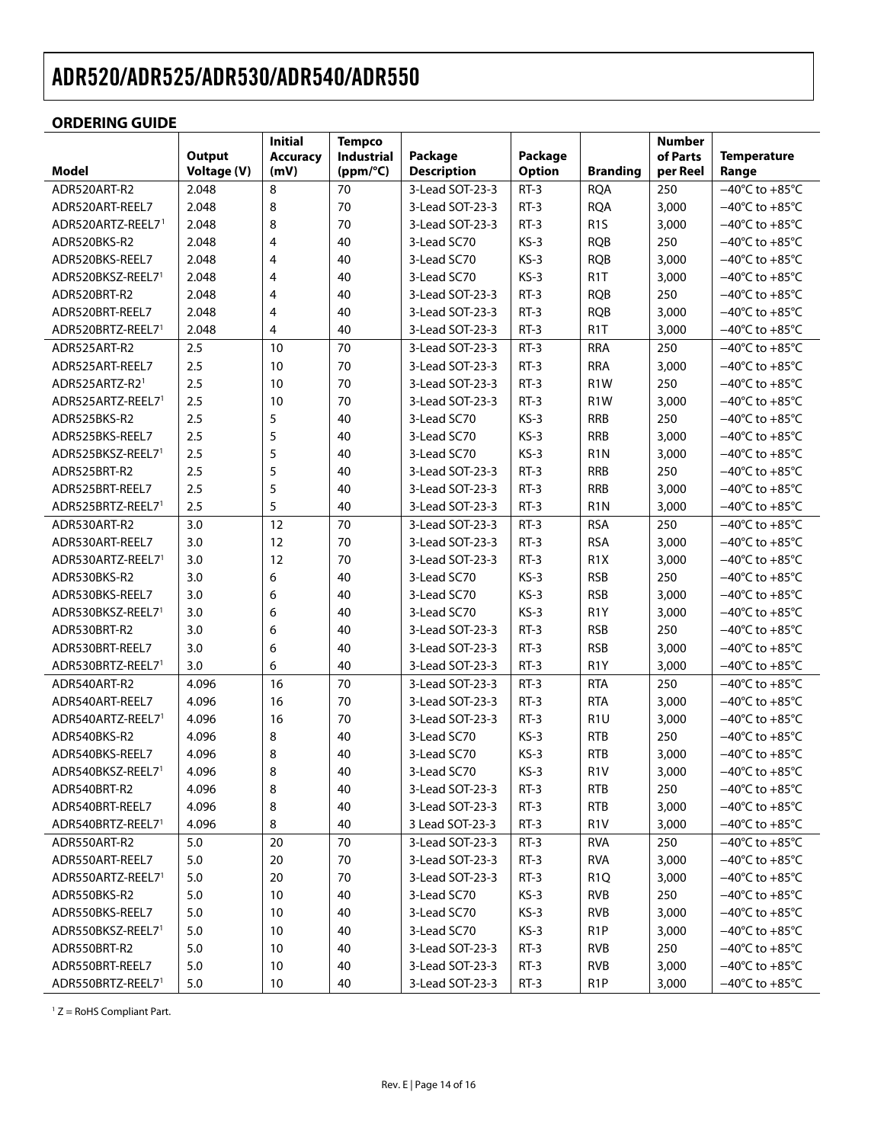#### <span id="page-13-0"></span>**ORDERING GUIDE**

<span id="page-13-1"></span>

|                   |                              | <b>Initial</b>          | <b>Tempco</b>          |                               |                          |                  | <b>Number</b>        |                                    |
|-------------------|------------------------------|-------------------------|------------------------|-------------------------------|--------------------------|------------------|----------------------|------------------------------------|
| Model             | <b>Output</b><br>Voltage (V) | <b>Accuracy</b><br>(mV) | Industrial<br>(ppm/°C) | Package<br><b>Description</b> | Package<br><b>Option</b> | <b>Branding</b>  | of Parts<br>per Reel | <b>Temperature</b><br>Range        |
| ADR520ART-R2      | 2.048                        | 8                       | 70                     | 3-Lead SOT-23-3               | $RT-3$                   | <b>RQA</b>       | 250                  | $-40^{\circ}$ C to $+85^{\circ}$ C |
| ADR520ART-REEL7   | 2.048                        | 8                       | 70                     | 3-Lead SOT-23-3               | $RT-3$                   | <b>RQA</b>       | 3,000                | $-40^{\circ}$ C to $+85^{\circ}$ C |
| ADR520ARTZ-REEL71 | 2.048                        | 8                       | 70                     | 3-Lead SOT-23-3               | $RT-3$                   | R <sub>1</sub> S | 3,000                | $-40^{\circ}$ C to $+85^{\circ}$ C |
| ADR520BKS-R2      | 2.048                        | $\overline{4}$          | 40                     | 3-Lead SC70                   | $KS-3$                   | <b>RQB</b>       | 250                  | $-40^{\circ}$ C to $+85^{\circ}$ C |
| ADR520BKS-REEL7   | 2.048                        | $\overline{4}$          | 40                     | 3-Lead SC70                   | $KS-3$                   | <b>RQB</b>       | 3,000                | $-40^{\circ}$ C to $+85^{\circ}$ C |
| ADR520BKSZ-REEL71 | 2.048                        | $\overline{4}$          | 40                     | 3-Lead SC70                   | $KS-3$                   | R <sub>1</sub> T | 3,000                | $-40^{\circ}$ C to $+85^{\circ}$ C |
| ADR520BRT-R2      | 2.048                        | $\overline{4}$          | 40                     | 3-Lead SOT-23-3               | $RT-3$                   | <b>RQB</b>       | 250                  | $-40^{\circ}$ C to $+85^{\circ}$ C |
| ADR520BRT-REEL7   | 2.048                        | 4                       | 40                     | 3-Lead SOT-23-3               | $RT-3$                   | <b>RQB</b>       | 3,000                | $-40^{\circ}$ C to $+85^{\circ}$ C |
| ADR520BRTZ-REEL71 | 2.048                        | 4                       | 40                     | 3-Lead SOT-23-3               | $RT-3$                   | R <sub>1</sub> T | 3,000                | $-40^{\circ}$ C to $+85^{\circ}$ C |
| ADR525ART-R2      | 2.5                          | 10                      | 70                     | 3-Lead SOT-23-3               | RT-3                     | <b>RRA</b>       | 250                  | $-40^{\circ}$ C to $+85^{\circ}$ C |
| ADR525ART-REEL7   | 2.5                          | 10                      | 70                     | 3-Lead SOT-23-3               | $RT-3$                   | <b>RRA</b>       | 3,000                | $-40^{\circ}$ C to $+85^{\circ}$ C |
| ADR525ARTZ-R21    | 2.5                          | 10                      | 70                     | 3-Lead SOT-23-3               | $RT-3$                   | R <sub>1</sub> W | 250                  | $-40^{\circ}$ C to $+85^{\circ}$ C |
| ADR525ARTZ-REEL71 | 2.5                          | 10                      | 70                     | 3-Lead SOT-23-3               | $RT-3$                   | R <sub>1</sub> W | 3,000                | $-40^{\circ}$ C to $+85^{\circ}$ C |
| ADR525BKS-R2      | 2.5                          | 5                       | 40                     | 3-Lead SC70                   | $KS-3$                   | <b>RRB</b>       | 250                  | $-40^{\circ}$ C to $+85^{\circ}$ C |
| ADR525BKS-REEL7   | 2.5                          | 5                       | 40                     | 3-Lead SC70                   | $KS-3$                   | <b>RRB</b>       | 3,000                | $-40^{\circ}$ C to $+85^{\circ}$ C |
| ADR525BKSZ-REEL71 | 2.5                          | 5                       | 40                     | 3-Lead SC70                   | $KS-3$                   | R <sub>1</sub> N | 3,000                | $-40^{\circ}$ C to $+85^{\circ}$ C |
| ADR525BRT-R2      | 2.5                          | 5                       | 40                     | 3-Lead SOT-23-3               | $RT-3$                   | <b>RRB</b>       | 250                  | $-40^{\circ}$ C to $+85^{\circ}$ C |
| ADR525BRT-REEL7   | 2.5                          | 5                       | 40                     | 3-Lead SOT-23-3               | $RT-3$                   | <b>RRB</b>       | 3,000                | $-40^{\circ}$ C to $+85^{\circ}$ C |
| ADR525BRTZ-REEL71 | 2.5                          | 5                       | 40                     | 3-Lead SOT-23-3               | $RT-3$                   | R <sub>1</sub> N | 3,000                | $-40^{\circ}$ C to $+85^{\circ}$ C |
| ADR530ART-R2      | 3.0                          | 12                      | 70                     | 3-Lead SOT-23-3               | $RT-3$                   | <b>RSA</b>       | 250                  | $-40^{\circ}$ C to $+85^{\circ}$ C |
| ADR530ART-REEL7   | 3.0                          | 12                      | 70                     | 3-Lead SOT-23-3               | $RT-3$                   | <b>RSA</b>       | 3,000                | $-40^{\circ}$ C to $+85^{\circ}$ C |
| ADR530ARTZ-REEL71 | 3.0                          | 12                      | 70                     | 3-Lead SOT-23-3               | $RT-3$                   | R <sub>1</sub> X | 3,000                | $-40^{\circ}$ C to $+85^{\circ}$ C |
| ADR530BKS-R2      | 3.0                          | 6                       | 40                     | 3-Lead SC70                   | $KS-3$                   | <b>RSB</b>       | 250                  | $-40^{\circ}$ C to $+85^{\circ}$ C |
| ADR530BKS-REEL7   | 3.0                          | 6                       | 40                     | 3-Lead SC70                   | $KS-3$                   | <b>RSB</b>       | 3,000                | $-40^{\circ}$ C to $+85^{\circ}$ C |
| ADR530BKSZ-REEL71 | 3.0                          | 6                       | 40                     | 3-Lead SC70                   | $KS-3$                   | R <sub>1</sub> Y | 3,000                | $-40^{\circ}$ C to $+85^{\circ}$ C |
| ADR530BRT-R2      | 3.0                          | 6                       | 40                     | 3-Lead SOT-23-3               | $RT-3$                   | <b>RSB</b>       | 250                  | $-40^{\circ}$ C to $+85^{\circ}$ C |
| ADR530BRT-REEL7   | 3.0                          | 6                       | 40                     | 3-Lead SOT-23-3               | $RT-3$                   | <b>RSB</b>       | 3,000                | $-40^{\circ}$ C to $+85^{\circ}$ C |
| ADR530BRTZ-REEL71 | 3.0                          | 6                       | 40                     | 3-Lead SOT-23-3               | $RT-3$                   | R <sub>1</sub> Y | 3,000                | $-40^{\circ}$ C to $+85^{\circ}$ C |
| ADR540ART-R2      | 4.096                        | 16                      | 70                     | 3-Lead SOT-23-3               | $RT-3$                   | <b>RTA</b>       | 250                  | $-40^{\circ}$ C to $+85^{\circ}$ C |
| ADR540ART-REEL7   | 4.096                        | 16                      | 70                     | 3-Lead SOT-23-3               | $RT-3$                   | <b>RTA</b>       | 3,000                | $-40^{\circ}$ C to $+85^{\circ}$ C |
| ADR540ARTZ-REEL71 | 4.096                        | 16                      | 70                     | 3-Lead SOT-23-3               | $RT-3$                   | R <sub>1U</sub>  | 3,000                | $-40^{\circ}$ C to $+85^{\circ}$ C |
| ADR540BKS-R2      | 4.096                        | 8                       | 40                     | 3-Lead SC70                   | $KS-3$                   | <b>RTB</b>       | 250                  | $-40^{\circ}$ C to $+85^{\circ}$ C |
| ADR540BKS-REEL7   | 4.096                        | 8                       | 40                     | 3-Lead SC70                   | $KS-3$                   | <b>RTB</b>       | 3,000                | $-40^{\circ}$ C to $+85^{\circ}$ C |
| ADR540BKSZ-REEL71 | 4.096                        | 8                       | 40                     | 3-Lead SC70                   | $KS-3$                   | R <sub>1</sub> V | 3,000                | $-40^{\circ}$ C to $+85^{\circ}$ C |
| ADR540BRT-R2      | 4.096                        | 8                       | 40                     | 3-Lead SOT-23-3               | $RT-3$                   | <b>RTB</b>       | 250                  | $-40^{\circ}$ C to $+85^{\circ}$ C |
| ADR540BRT-REEL7   | 4.096                        | 8                       | 40                     | 3-Lead SOT-23-3               | $RT-3$                   | <b>RTB</b>       | 3,000                | $-40^{\circ}$ C to $+85^{\circ}$ C |
| ADR540BRTZ-REEL71 | 4.096                        | 8                       | 40                     | 3 Lead SOT-23-3               | $RT-3$                   | R <sub>1</sub> V | 3,000                | $-40^{\circ}$ C to $+85^{\circ}$ C |
| ADR550ART-R2      | 5.0                          | 20                      | 70                     | 3-Lead SOT-23-3               | $RT-3$                   | <b>RVA</b>       | 250                  | $-40^{\circ}$ C to $+85^{\circ}$ C |
| ADR550ART-REEL7   | 5.0                          | 20                      | 70                     | 3-Lead SOT-23-3               | $RT-3$                   | <b>RVA</b>       | 3,000                | $-40^{\circ}$ C to $+85^{\circ}$ C |
| ADR550ARTZ-REEL71 | 5.0                          | 20                      | 70                     | 3-Lead SOT-23-3               | $RT-3$                   | R <sub>1Q</sub>  | 3,000                | $-40^{\circ}$ C to $+85^{\circ}$ C |
| ADR550BKS-R2      | 5.0                          | 10                      | 40                     | 3-Lead SC70                   | $KS-3$                   | <b>RVB</b>       | 250                  | $-40^{\circ}$ C to $+85^{\circ}$ C |
| ADR550BKS-REEL7   | 5.0                          | 10                      | 40                     | 3-Lead SC70                   | $KS-3$                   | RVB              | 3,000                | $-40^{\circ}$ C to $+85^{\circ}$ C |
| ADR550BKSZ-REEL71 | 5.0                          | 10                      | 40                     | 3-Lead SC70                   | $KS-3$                   | R <sub>1</sub> P | 3,000                | $-40^{\circ}$ C to $+85^{\circ}$ C |
| ADR550BRT-R2      | 5.0                          | 10                      | 40                     | 3-Lead SOT-23-3               | $RT-3$                   | RVB              | 250                  | $-40^{\circ}$ C to $+85^{\circ}$ C |
| ADR550BRT-REEL7   | 5.0                          | 10                      | 40                     | 3-Lead SOT-23-3               | $RT-3$                   | <b>RVB</b>       | 3,000                | $-40^{\circ}$ C to $+85^{\circ}$ C |
| ADR550BRTZ-REEL71 | 5.0                          | 10                      | 40                     | 3-Lead SOT-23-3               | $RT-3$                   | R <sub>1</sub> P | 3,000                | $-40^{\circ}$ C to $+85^{\circ}$ C |

 $1 Z =$  RoHS Compliant Part.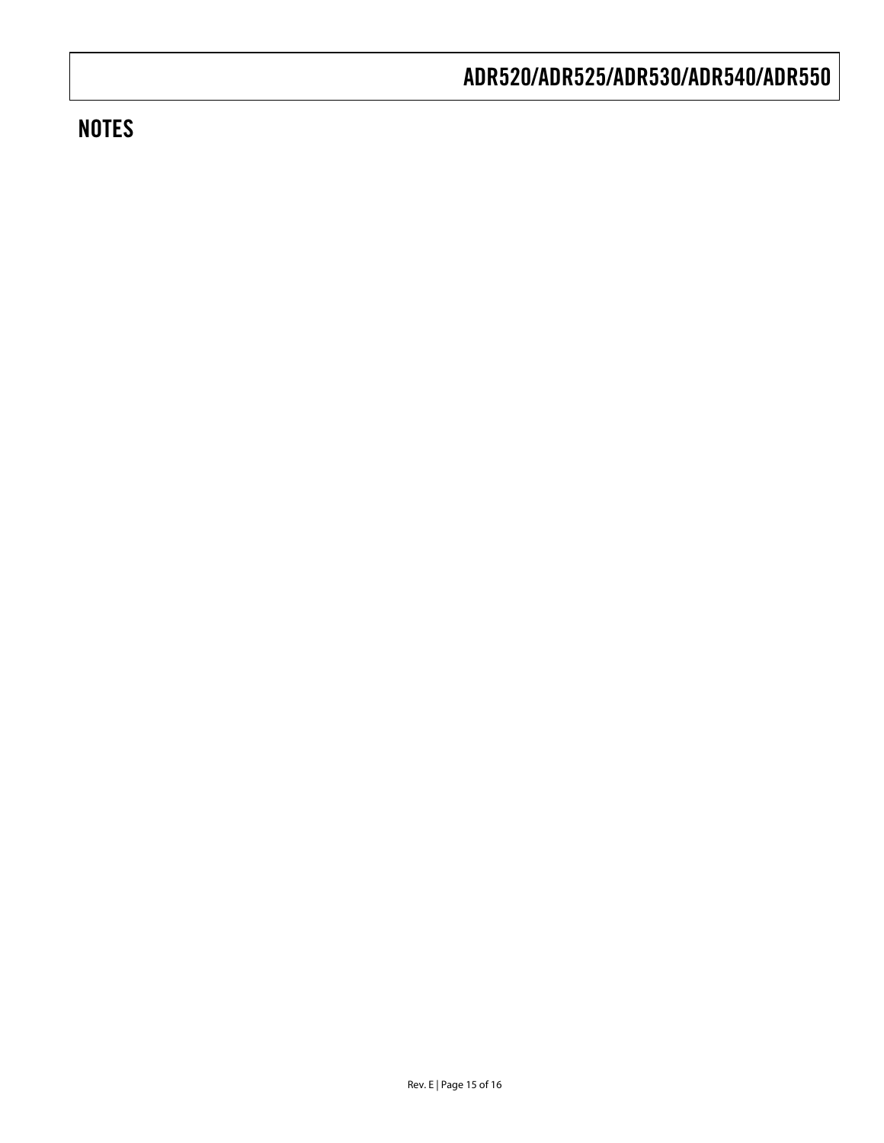## **NOTES**